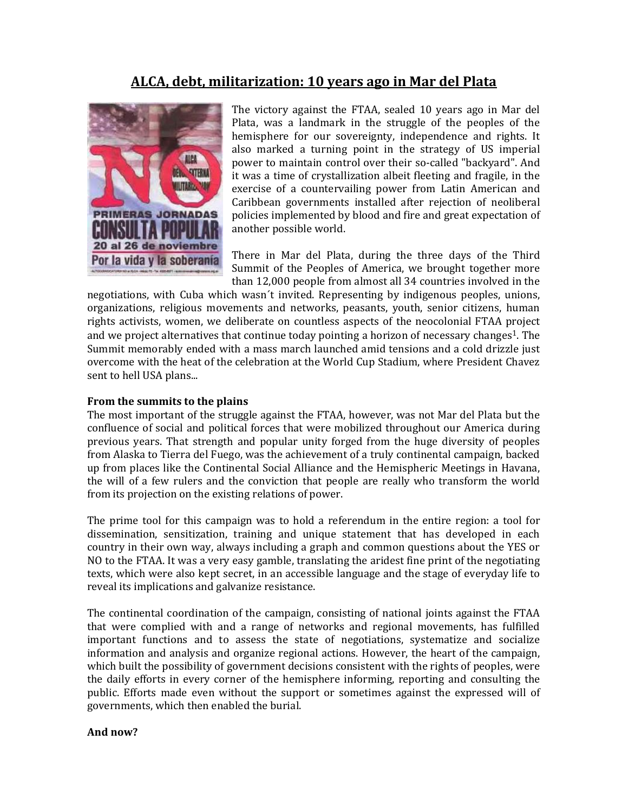## **ALCA, debt, militarization: 10 years ago in Mar del Plata**



The victory against the FTAA, sealed 10 years ago in Mar del Plata, was a landmark in the struggle of the peoples of the hemisphere for our sovereignty, independence and rights. It also marked a turning point in the strategy of US imperial power to maintain control over their so-called "backyard". And it was a time of crystallization albeit fleeting and fragile, in the exercise of a countervailing power from Latin American and Caribbean governments installed after rejection of neoliberal policies implemented by blood and fire and great expectation of another possible world.

There in Mar del Plata, during the three days of the Third Summit of the Peoples of America, we brought together more than 12,000 people from almost all 34 countries involved in the

negotiations, with Cuba which wasn´t invited. Representing by indigenous peoples, unions, organizations, religious movements and networks, peasants, youth, senior citizens, human rights activists, women, we deliberate on countless aspects of the neocolonial FTAA project and we project alternatives that continue today pointing a horizon of necessary changes<sup>1</sup>. The Summit memorably ended with a mass march launched amid tensions and a cold drizzle just overcome with the heat of the celebration at the World Cup Stadium, where President Chavez sent to hell USA plans...

## **From the summits to the plains**

The most important of the struggle against the FTAA, however, was not Mar del Plata but the confluence of social and political forces that were mobilized throughout our America during previous years. That strength and popular unity forged from the huge diversity of peoples from Alaska to Tierra del Fuego, was the achievement of a truly continental campaign, backed up from places like the Continental Social Alliance and the Hemispheric Meetings in Havana, the will of a few rulers and the conviction that people are really who transform the world from its projection on the existing relations of power.

The prime tool for this campaign was to hold a referendum in the entire region: a tool for dissemination, sensitization, training and unique statement that has developed in each country in their own way, always including a graph and common questions about the YES or NO to the FTAA. It was a very easy gamble, translating the aridest fine print of the negotiating texts, which were also kept secret, in an accessible language and the stage of everyday life to reveal its implications and galvanize resistance.

The continental coordination of the campaign, consisting of national joints against the FTAA that were complied with and a range of networks and regional movements, has fulfilled important functions and to assess the state of negotiations, systematize and socialize information and analysis and organize regional actions. However, the heart of the campaign, which built the possibility of government decisions consistent with the rights of peoples, were the daily efforts in every corner of the hemisphere informing, reporting and consulting the public. Efforts made even without the support or sometimes against the expressed will of governments, which then enabled the burial.

## **And now?**